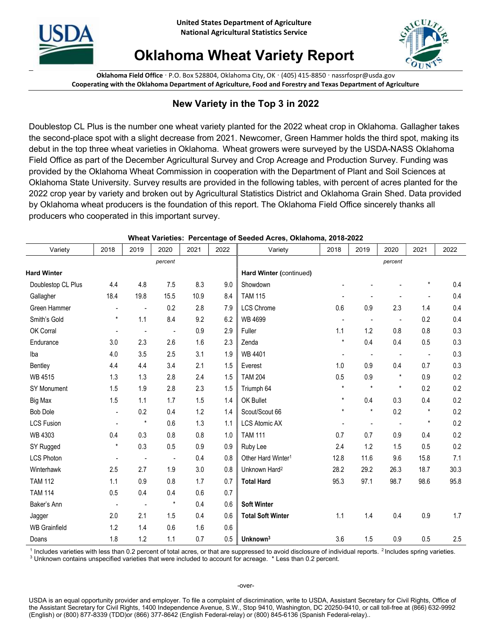



## Oklahoma Wheat Variety Report

Oklahoma Field Office · P.O. Box 528804, Oklahoma City, OK · (405) 415-8850 · nassrfospr@usda.gov Cooperating with the Oklahoma Department of Agriculture, Food and Forestry and Texas Department of Agriculture

## New Variety in the Top 3 in 2022

Doublestop CL Plus is the number one wheat variety planted for the 2022 wheat crop in Oklahoma. Gallagher takes the second-place spot with a slight decrease from 2021. Newcomer, Green Hammer holds the third spot, making its debut in the top three wheat varieties in Oklahoma. Wheat growers were surveyed by the USDA-NASS Oklahoma Field Office as part of the December Agricultural Survey and Crop Acreage and Production Survey. Funding was provided by the Oklahoma Wheat Commission in cooperation with the Department of Plant and Soil Sciences at Oklahoma State University. Survey results are provided in the following tables, with percent of acres planted for the 2022 crop year by variety and broken out by Agricultural Statistics District and Oklahoma Grain Shed. Data provided by Oklahoma wheat producers is the foundation of this report. The Oklahoma Field Office sincerely thanks all producers who cooperated in this important survey.

| Variety              | 2018                     | 2019                     | 2020                     | 2021 | 2022 | Variety                        | 2018           | 2019           | 2020                     | 2021                     | 2022 |
|----------------------|--------------------------|--------------------------|--------------------------|------|------|--------------------------------|----------------|----------------|--------------------------|--------------------------|------|
|                      |                          |                          | percent                  |      |      |                                |                |                | percent                  |                          |      |
| <b>Hard Winter</b>   |                          |                          |                          |      |      | Hard Winter (continued)        |                |                |                          |                          |      |
| Doublestop CL Plus   | 4.4                      | 4.8                      | 7.5                      | 8.3  | 9.0  | Showdown                       |                |                |                          | $\star$                  | 0.4  |
| Gallagher            | 18.4                     | 19.8                     | 15.5                     | 10.9 | 8.4  | <b>TAM 115</b>                 |                |                |                          | $\overline{\phantom{a}}$ | 0.4  |
| Green Hammer         | $\overline{\phantom{a}}$ | $\overline{\phantom{a}}$ | 0.2                      | 2.8  | 7.9  | <b>LCS Chrome</b>              | 0.6            | 0.9            | 2.3                      | 1.4                      | 0.4  |
| Smith's Gold         | $\star$                  | 1.1                      | 8.4                      | 9.2  | 6.2  | <b>WB 4699</b>                 | $\blacksquare$ | $\blacksquare$ | $\overline{\phantom{a}}$ | 0.2                      | 0.4  |
| OK Corral            | $\overline{\phantom{a}}$ | $\blacksquare$           | $\overline{\phantom{a}}$ | 0.9  | 2.9  | Fuller                         | 1.1            | 1.2            | 0.8                      | 0.8                      | 0.3  |
| Endurance            | 3.0                      | 2.3                      | 2.6                      | 1.6  | 2.3  | Zenda                          | $\star$        | 0.4            | 0.4                      | 0.5                      | 0.3  |
| Iba                  | 4.0                      | 3.5                      | 2.5                      | 3.1  | 1.9  | WB 4401                        |                |                | $\blacksquare$           | $\overline{\phantom{a}}$ | 0.3  |
| Bentley              | 4.4                      | 4.4                      | 3.4                      | 2.1  | 1.5  | Everest                        | 1.0            | 0.9            | 0.4                      | 0.7                      | 0.3  |
| <b>WB 4515</b>       | 1.3                      | 1.3                      | 2.8                      | 2.4  | 1.5  | <b>TAM 204</b>                 | 0.5            | 0.9            | $\pmb{\star}$            | 0.9                      | 0.2  |
| <b>SY Monument</b>   | 1.5                      | 1.9                      | 2.8                      | 2.3  | 1.5  | Triumph 64                     | $\star$        | $^\star$       | $\star$                  | 0.2                      | 0.2  |
| Big Max              | 1.5                      | 1.1                      | 1.7                      | 1.5  | 1.4  | OK Bullet                      | $\star$        | 0.4            | 0.3                      | 0.4                      | 0.2  |
| <b>Bob Dole</b>      | $\overline{a}$           | 0.2                      | 0.4                      | 1.2  | 1.4  | Scout/Scout 66                 | $\star$        | $\star$        | 0.2                      | $\star$                  | 0.2  |
| <b>LCS Fusion</b>    | $\blacksquare$           | $^\star$                 | 0.6                      | 1.3  | 1.1  | <b>LCS Atomic AX</b>           | $\blacksquare$ |                | $\overline{\phantom{a}}$ | $\star$                  | 0.2  |
| <b>WB 4303</b>       | 0.4                      | 0.3                      | 0.8                      | 0.8  | 1.0  | <b>TAM 111</b>                 | 0.7            | 0.7            | 0.9                      | 0.4                      | 0.2  |
| SY Rugged            | $\star$                  | 0.3                      | 0.5                      | 0.9  | 0.9  | Ruby Lee                       | 2.4            | 1.2            | 1.5                      | 0.5                      | 0.2  |
| <b>LCS Photon</b>    | $\overline{\phantom{a}}$ | $\overline{\phantom{a}}$ | $\blacksquare$           | 0.4  | 0.8  | Other Hard Winter <sup>1</sup> | 12.8           | 11.6           | 9.6                      | 15.8                     | 7.1  |
| Winterhawk           | 2.5                      | 2.7                      | 1.9                      | 3.0  | 0.8  | Unknown Hard <sup>2</sup>      | 28.2           | 29.2           | 26.3                     | 18.7                     | 30.3 |
| <b>TAM 112</b>       | 1.1                      | 0.9                      | 0.8                      | 1.7  | 0.7  | <b>Total Hard</b>              | 95.3           | 97.1           | 98.7                     | 98.6                     | 95.8 |
| <b>TAM 114</b>       | 0.5                      | 0.4                      | 0.4                      | 0.6  | 0.7  |                                |                |                |                          |                          |      |
| Baker's Ann          | $\overline{\phantom{a}}$ | $\overline{\phantom{a}}$ | $^\star$                 | 0.4  | 0.6  | <b>Soft Winter</b>             |                |                |                          |                          |      |
| Jagger               | 2.0                      | 2.1                      | 1.5                      | 0.4  | 0.6  | <b>Total Soft Winter</b>       | 1.1            | 1.4            | 0.4                      | 0.9                      | 1.7  |
| <b>WB Grainfield</b> | 1.2                      | 1.4                      | 0.6                      | 1.6  | 0.6  |                                |                |                |                          |                          |      |
| Doans                | 1.8                      | 1.2                      | 1.1                      | 0.7  | 0.5  | Unknown <sup>3</sup>           | 3.6            | 1.5            | 0.9                      | 0.5                      | 2.5  |

## Wheat Varieties: Percentage of Seeded Acres, Oklahoma, 2018-2022

<sup>1</sup> Includes varieties with less than 0.2 percent of total acres, or that are suppressed to avoid disclosure of individual reports. <sup>2</sup> Includes spring varieties. <sup>3</sup> Unknown contains unspecified varieties that were included to account for acreage. \* Less than 0.2 percent.

USDA is an equal opportunity provider and employer. To file a complaint of discrimination, write to USDA, Assistant Secretary for Civil Rights, Office of the Assistant Secretary for Civil Rights, 1400 Independence Avenue, S.W., Stop 9410, Washington, DC 20250-9410, or call toll-free at (866) 632-9992 (English) or (800) 877-8339 (TDD)or (866) 377-8642 (English Federal-relay) or (800) 845-6136 (Spanish Federal-relay)..